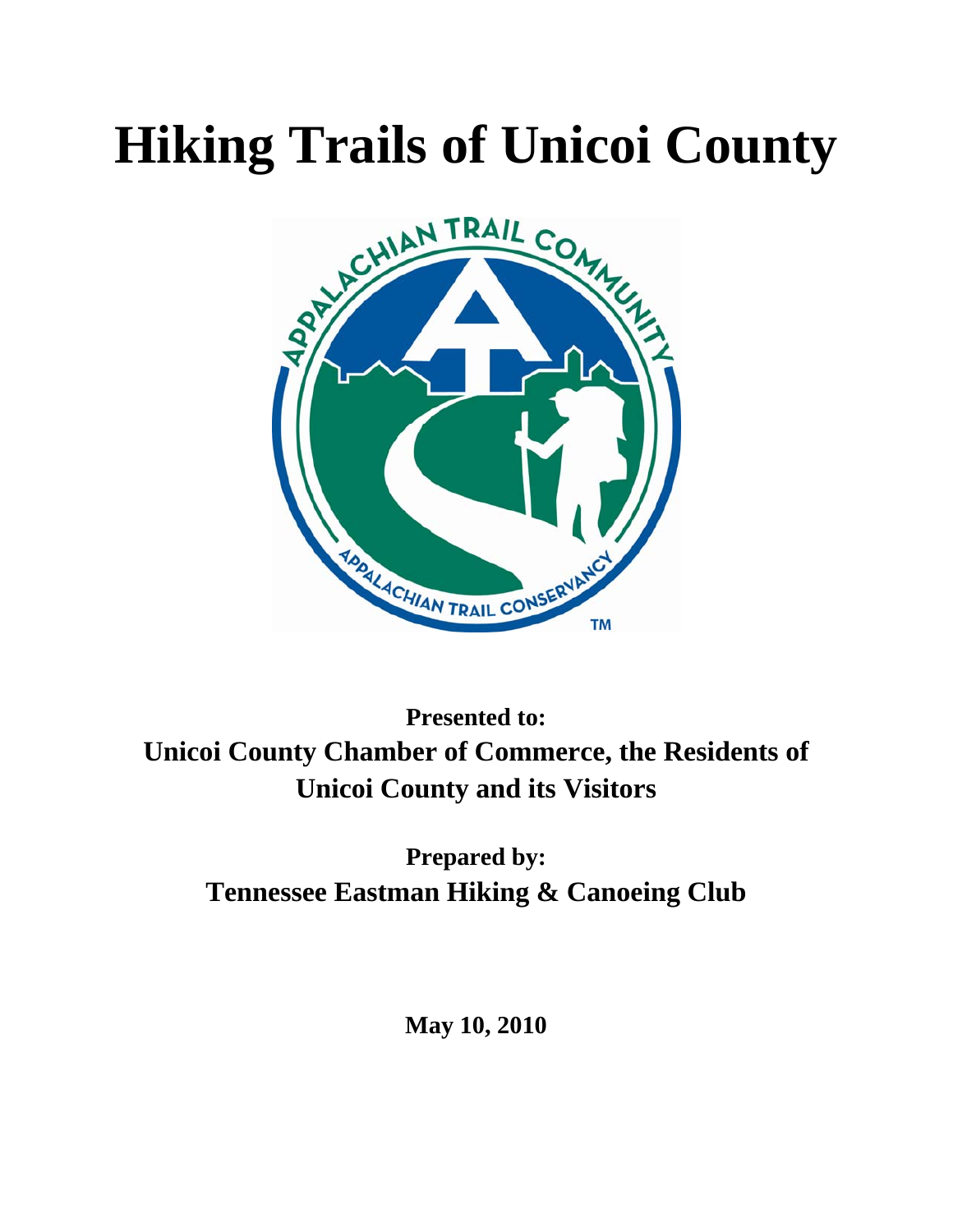# **Hiking Trails of Unicoi County**



**Presented to: Unicoi County Chamber of Commerce, the Residents of Unicoi County and its Visitors** 

**Prepared by: Tennessee Eastman Hiking & Canoeing Club** 

**May 10, 2010**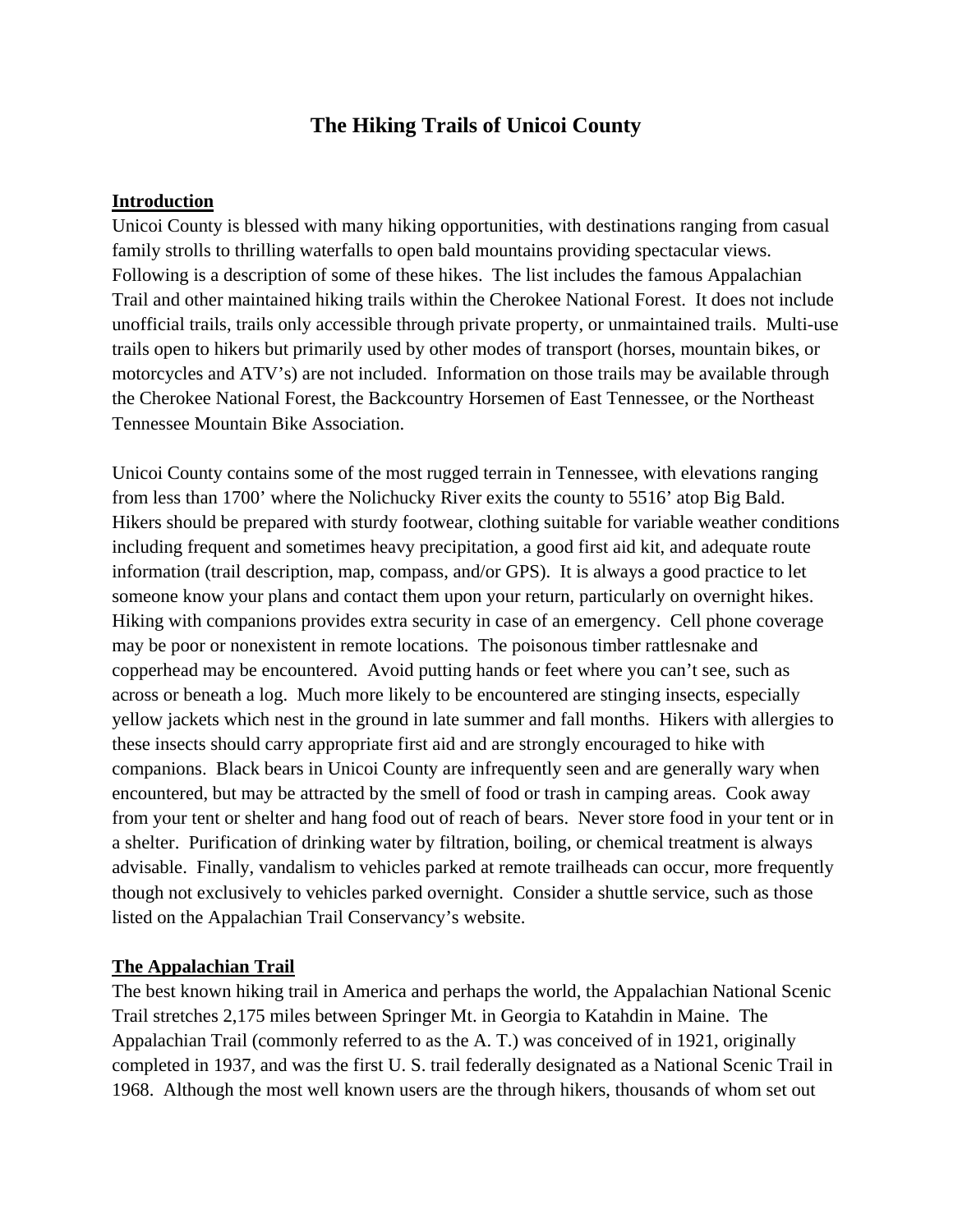# **The Hiking Trails of Unicoi County**

#### **Introduction**

Unicoi County is blessed with many hiking opportunities, with destinations ranging from casual family strolls to thrilling waterfalls to open bald mountains providing spectacular views. Following is a description of some of these hikes. The list includes the famous Appalachian Trail and other maintained hiking trails within the Cherokee National Forest. It does not include unofficial trails, trails only accessible through private property, or unmaintained trails. Multi-use trails open to hikers but primarily used by other modes of transport (horses, mountain bikes, or motorcycles and ATV's) are not included. Information on those trails may be available through the Cherokee National Forest, the Backcountry Horsemen of East Tennessee, or the Northeast Tennessee Mountain Bike Association.

Unicoi County contains some of the most rugged terrain in Tennessee, with elevations ranging from less than 1700' where the Nolichucky River exits the county to 5516' atop Big Bald. Hikers should be prepared with sturdy footwear, clothing suitable for variable weather conditions including frequent and sometimes heavy precipitation, a good first aid kit, and adequate route information (trail description, map, compass, and/or GPS). It is always a good practice to let someone know your plans and contact them upon your return, particularly on overnight hikes. Hiking with companions provides extra security in case of an emergency. Cell phone coverage may be poor or nonexistent in remote locations. The poisonous timber rattlesnake and copperhead may be encountered. Avoid putting hands or feet where you can't see, such as across or beneath a log. Much more likely to be encountered are stinging insects, especially yellow jackets which nest in the ground in late summer and fall months. Hikers with allergies to these insects should carry appropriate first aid and are strongly encouraged to hike with companions. Black bears in Unicoi County are infrequently seen and are generally wary when encountered, but may be attracted by the smell of food or trash in camping areas. Cook away from your tent or shelter and hang food out of reach of bears. Never store food in your tent or in a shelter. Purification of drinking water by filtration, boiling, or chemical treatment is always advisable. Finally, vandalism to vehicles parked at remote trailheads can occur, more frequently though not exclusively to vehicles parked overnight. Consider a shuttle service, such as those listed on the Appalachian Trail Conservancy's website.

#### **The Appalachian Trail**

The best known hiking trail in America and perhaps the world, the Appalachian National Scenic Trail stretches 2,175 miles between Springer Mt. in Georgia to Katahdin in Maine. The Appalachian Trail (commonly referred to as the A. T.) was conceived of in 1921, originally completed in 1937, and was the first U. S. trail federally designated as a National Scenic Trail in 1968. Although the most well known users are the through hikers, thousands of whom set out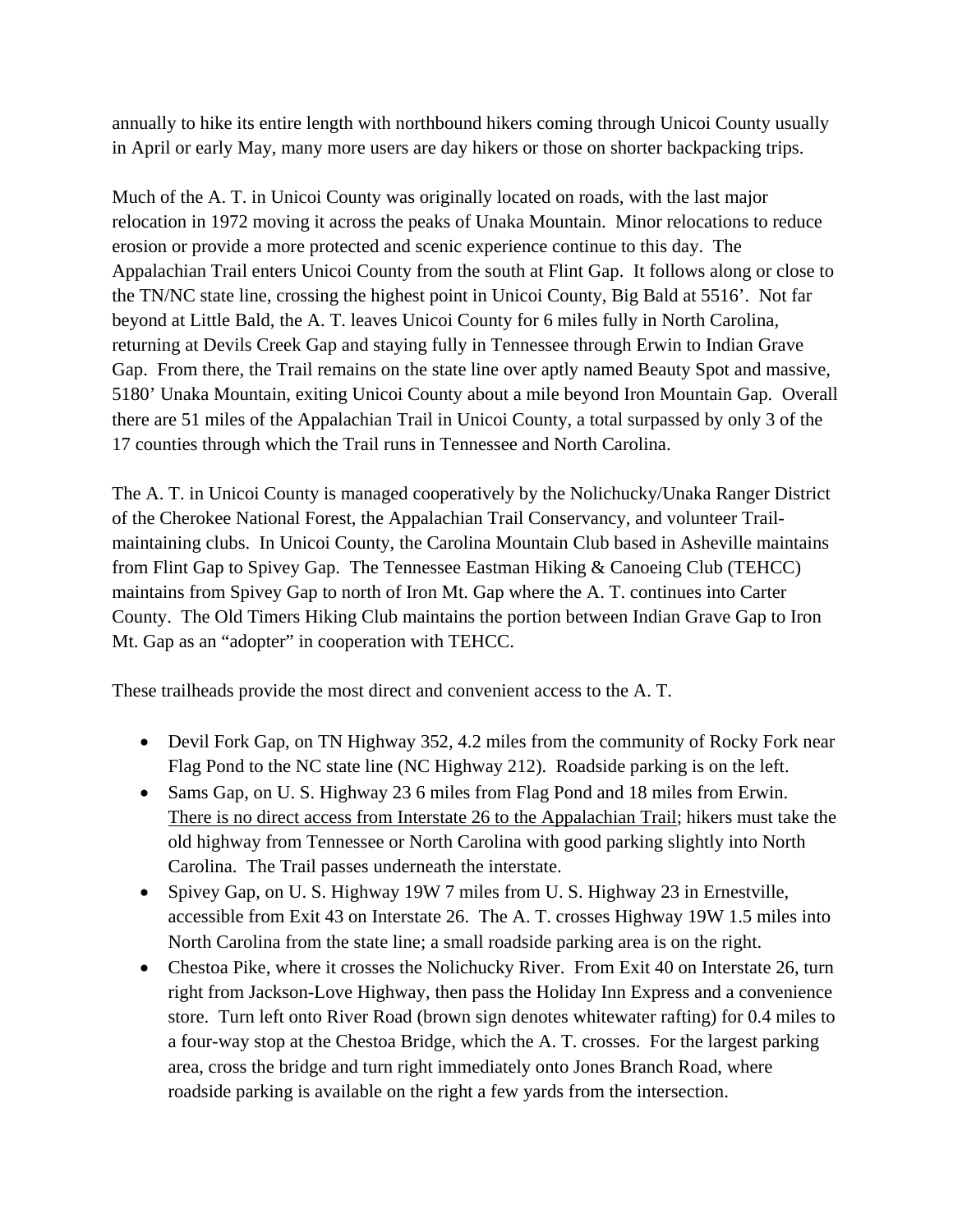annually to hike its entire length with northbound hikers coming through Unicoi County usually in April or early May, many more users are day hikers or those on shorter backpacking trips.

Much of the A. T. in Unicoi County was originally located on roads, with the last major relocation in 1972 moving it across the peaks of Unaka Mountain. Minor relocations to reduce erosion or provide a more protected and scenic experience continue to this day. The Appalachian Trail enters Unicoi County from the south at Flint Gap. It follows along or close to the TN/NC state line, crossing the highest point in Unicoi County, Big Bald at 5516'. Not far beyond at Little Bald, the A. T. leaves Unicoi County for 6 miles fully in North Carolina, returning at Devils Creek Gap and staying fully in Tennessee through Erwin to Indian Grave Gap. From there, the Trail remains on the state line over aptly named Beauty Spot and massive, 5180' Unaka Mountain, exiting Unicoi County about a mile beyond Iron Mountain Gap. Overall there are 51 miles of the Appalachian Trail in Unicoi County, a total surpassed by only 3 of the 17 counties through which the Trail runs in Tennessee and North Carolina.

The A. T. in Unicoi County is managed cooperatively by the Nolichucky/Unaka Ranger District of the Cherokee National Forest, the Appalachian Trail Conservancy, and volunteer Trailmaintaining clubs. In Unicoi County, the Carolina Mountain Club based in Asheville maintains from Flint Gap to Spivey Gap. The Tennessee Eastman Hiking & Canoeing Club (TEHCC) maintains from Spivey Gap to north of Iron Mt. Gap where the A. T. continues into Carter County. The Old Timers Hiking Club maintains the portion between Indian Grave Gap to Iron Mt. Gap as an "adopter" in cooperation with TEHCC.

These trailheads provide the most direct and convenient access to the A. T.

- Devil Fork Gap, on TN Highway 352, 4.2 miles from the community of Rocky Fork near Flag Pond to the NC state line (NC Highway 212). Roadside parking is on the left.
- Sams Gap, on U. S. Highway 23 6 miles from Flag Pond and 18 miles from Erwin. There is no direct access from Interstate 26 to the Appalachian Trail; hikers must take the old highway from Tennessee or North Carolina with good parking slightly into North Carolina. The Trail passes underneath the interstate.
- Spivey Gap, on U.S. Highway 19W 7 miles from U.S. Highway 23 in Ernestville, accessible from Exit 43 on Interstate 26. The A. T. crosses Highway 19W 1.5 miles into North Carolina from the state line; a small roadside parking area is on the right.
- Chestoa Pike, where it crosses the Nolichucky River. From Exit 40 on Interstate 26, turn right from Jackson-Love Highway, then pass the Holiday Inn Express and a convenience store. Turn left onto River Road (brown sign denotes whitewater rafting) for 0.4 miles to a four-way stop at the Chestoa Bridge, which the A. T. crosses. For the largest parking area, cross the bridge and turn right immediately onto Jones Branch Road, where roadside parking is available on the right a few yards from the intersection.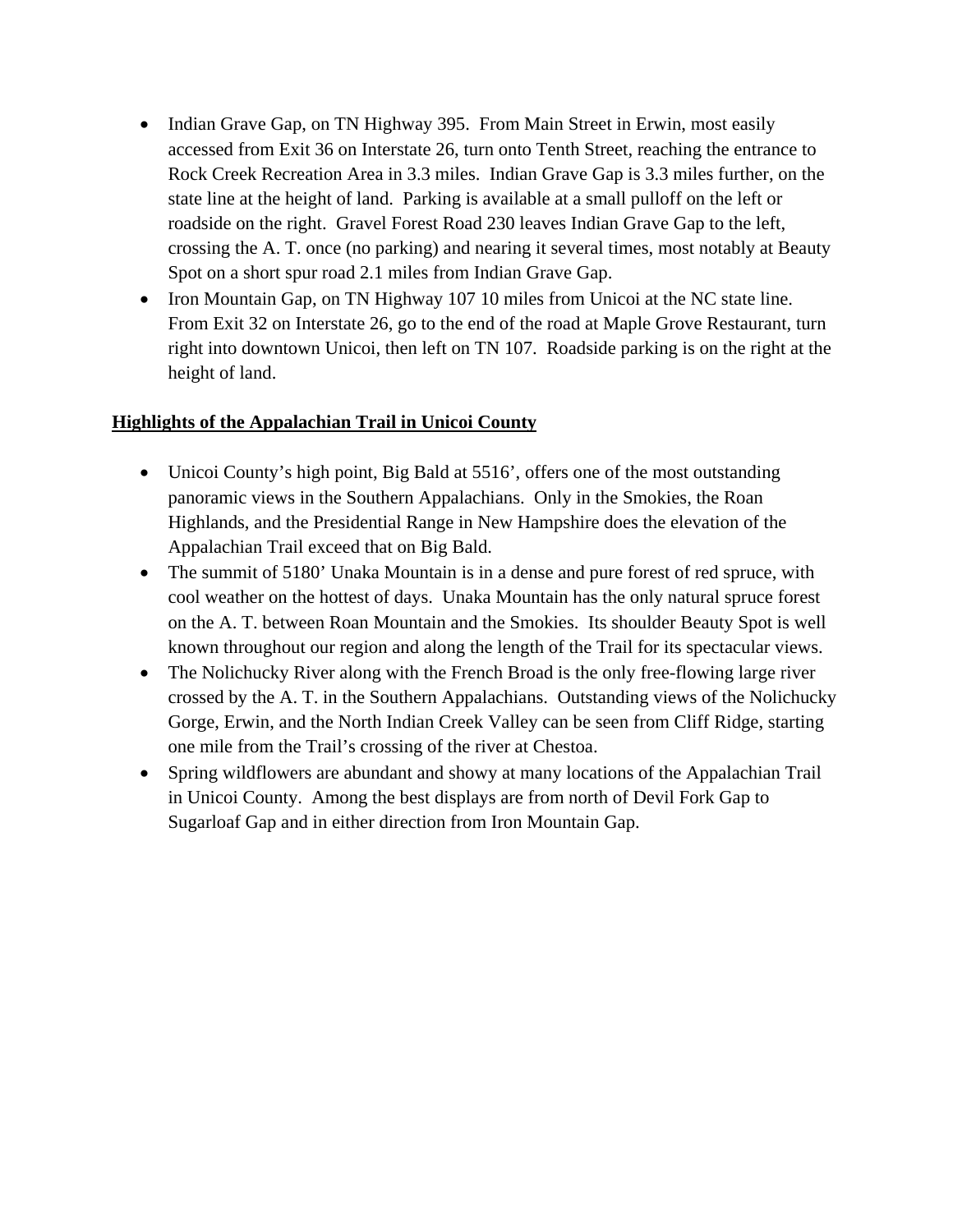- Indian Grave Gap, on TN Highway 395. From Main Street in Erwin, most easily accessed from Exit 36 on Interstate 26, turn onto Tenth Street, reaching the entrance to Rock Creek Recreation Area in 3.3 miles. Indian Grave Gap is 3.3 miles further, on the state line at the height of land. Parking is available at a small pulloff on the left or roadside on the right. Gravel Forest Road 230 leaves Indian Grave Gap to the left, crossing the A. T. once (no parking) and nearing it several times, most notably at Beauty Spot on a short spur road 2.1 miles from Indian Grave Gap.
- Iron Mountain Gap, on TN Highway 107 10 miles from Unicoi at the NC state line. From Exit 32 on Interstate 26, go to the end of the road at Maple Grove Restaurant, turn right into downtown Unicoi, then left on TN 107. Roadside parking is on the right at the height of land.

#### **Highlights of the Appalachian Trail in Unicoi County**

- Unicoi County's high point, Big Bald at 5516', offers one of the most outstanding panoramic views in the Southern Appalachians. Only in the Smokies, the Roan Highlands, and the Presidential Range in New Hampshire does the elevation of the Appalachian Trail exceed that on Big Bald.
- The summit of 5180' Unaka Mountain is in a dense and pure forest of red spruce, with cool weather on the hottest of days. Unaka Mountain has the only natural spruce forest on the A. T. between Roan Mountain and the Smokies. Its shoulder Beauty Spot is well known throughout our region and along the length of the Trail for its spectacular views.
- The Nolichucky River along with the French Broad is the only free-flowing large river crossed by the A. T. in the Southern Appalachians. Outstanding views of the Nolichucky Gorge, Erwin, and the North Indian Creek Valley can be seen from Cliff Ridge, starting one mile from the Trail's crossing of the river at Chestoa.
- Spring wildflowers are abundant and showy at many locations of the Appalachian Trail in Unicoi County. Among the best displays are from north of Devil Fork Gap to Sugarloaf Gap and in either direction from Iron Mountain Gap.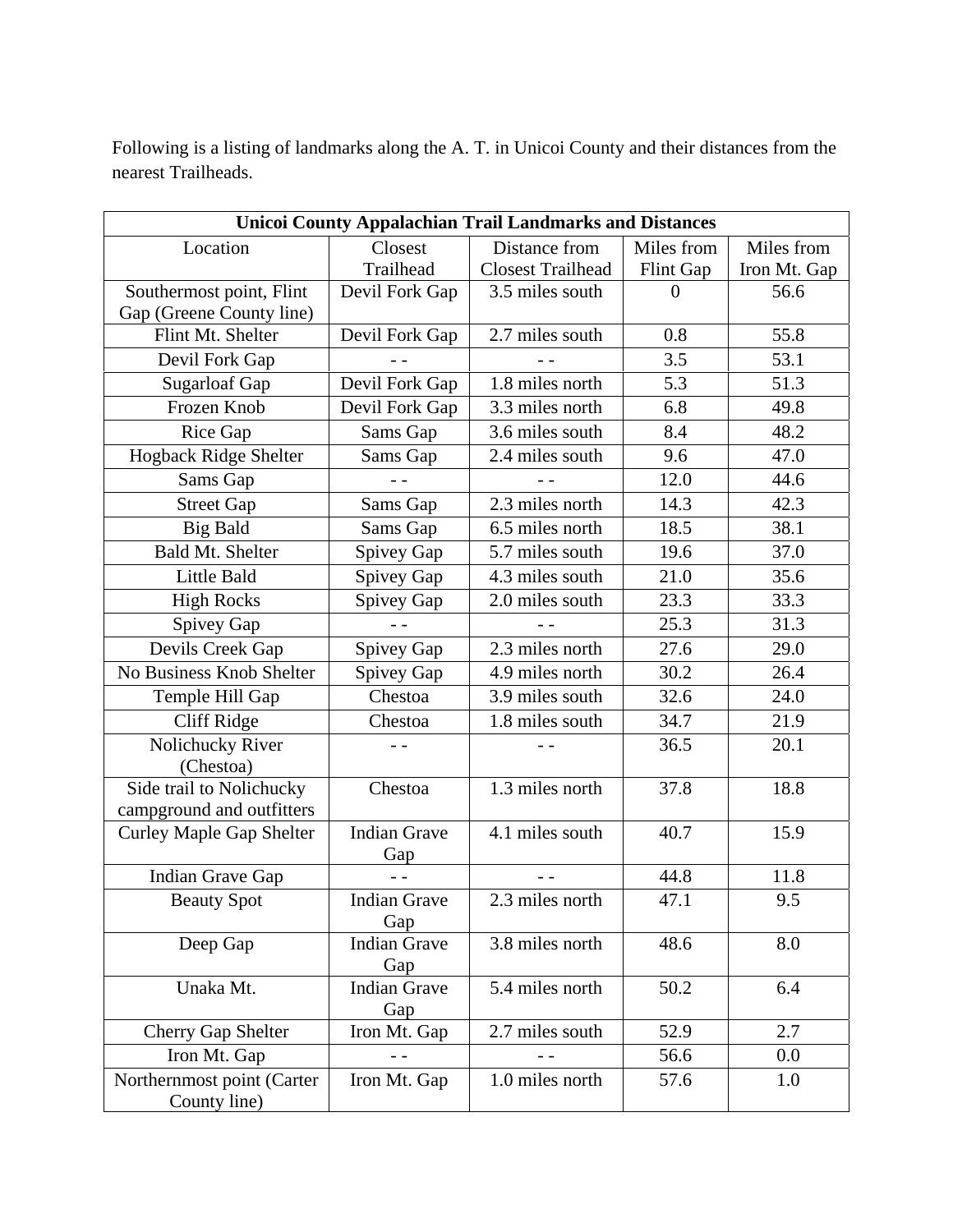Following is a listing of landmarks along the A. T. in Unicoi County and their distances from the nearest Trailheads.

| <b>Unicoi County Appalachian Trail Landmarks and Distances</b> |                            |                          |            |              |
|----------------------------------------------------------------|----------------------------|--------------------------|------------|--------------|
| Location                                                       | Closest                    | Distance from            | Miles from | Miles from   |
|                                                                | Trailhead                  | <b>Closest Trailhead</b> | Flint Gap  | Iron Mt. Gap |
| Southermost point, Flint                                       | Devil Fork Gap             | 3.5 miles south          | $\theta$   | 56.6         |
| Gap (Greene County line)                                       |                            |                          |            |              |
| Flint Mt. Shelter                                              | Devil Fork Gap             | 2.7 miles south          | 0.8        | 55.8         |
| Devil Fork Gap                                                 |                            |                          | 3.5        | 53.1         |
| <b>Sugarloaf Gap</b>                                           | Devil Fork Gap             | 1.8 miles north          | 5.3        | 51.3         |
| Frozen Knob                                                    | Devil Fork Gap             | 3.3 miles north          | 6.8        | 49.8         |
| Rice Gap                                                       | Sams Gap                   | 3.6 miles south          | 8.4        | 48.2         |
| Hogback Ridge Shelter                                          | Sams Gap                   | 2.4 miles south          | 9.6        | 47.0         |
| Sams Gap                                                       |                            |                          | 12.0       | 44.6         |
| <b>Street Gap</b>                                              | Sams Gap                   | 2.3 miles north          | 14.3       | 42.3         |
| <b>Big Bald</b>                                                | Sams Gap                   | 6.5 miles north          | 18.5       | 38.1         |
| <b>Bald Mt. Shelter</b>                                        | Spivey Gap                 | 5.7 miles south          | 19.6       | 37.0         |
| Little Bald                                                    | Spivey Gap                 | 4.3 miles south          | 21.0       | 35.6         |
| <b>High Rocks</b>                                              | Spivey Gap                 | 2.0 miles south          | 23.3       | 33.3         |
| Spivey Gap                                                     |                            |                          | 25.3       | 31.3         |
| Devils Creek Gap                                               | Spivey Gap                 | 2.3 miles north          | 27.6       | 29.0         |
| No Business Knob Shelter                                       | Spivey Gap                 | 4.9 miles north          | 30.2       | 26.4         |
| Temple Hill Gap                                                | Chestoa                    | 3.9 miles south          | 32.6       | 24.0         |
| <b>Cliff Ridge</b>                                             | Chestoa                    | 1.8 miles south          | 34.7       | 21.9         |
| Nolichucky River                                               | $ -$                       |                          | 36.5       | 20.1         |
| (Chestoa)                                                      |                            |                          |            |              |
| Side trail to Nolichucky                                       | Chestoa                    | 1.3 miles north          | 37.8       | 18.8         |
| campground and outfitters                                      |                            |                          |            |              |
| <b>Curley Maple Gap Shelter</b>                                | <b>Indian Grave</b><br>Gap | 4.1 miles south          | 40.7       | 15.9         |
| Indian Grave Gap                                               |                            |                          | 44.8       | 11.8         |
| <b>Beauty Spot</b>                                             | <b>Indian Grave</b><br>Gap | 2.3 miles north          | 47.1       | 9.5          |
| Deep Gap                                                       | <b>Indian Grave</b><br>Gap | 3.8 miles north          | 48.6       | 8.0          |
| Unaka Mt.                                                      | <b>Indian Grave</b><br>Gap | 5.4 miles north          | 50.2       | 6.4          |
| <b>Cherry Gap Shelter</b>                                      | Iron Mt. Gap               | 2.7 miles south          | 52.9       | 2.7          |
| Iron Mt. Gap                                                   | $ -$                       |                          | 56.6       | 0.0          |
| Northernmost point (Carter<br>County line)                     | Iron Mt. Gap               | 1.0 miles north          | 57.6       | 1.0          |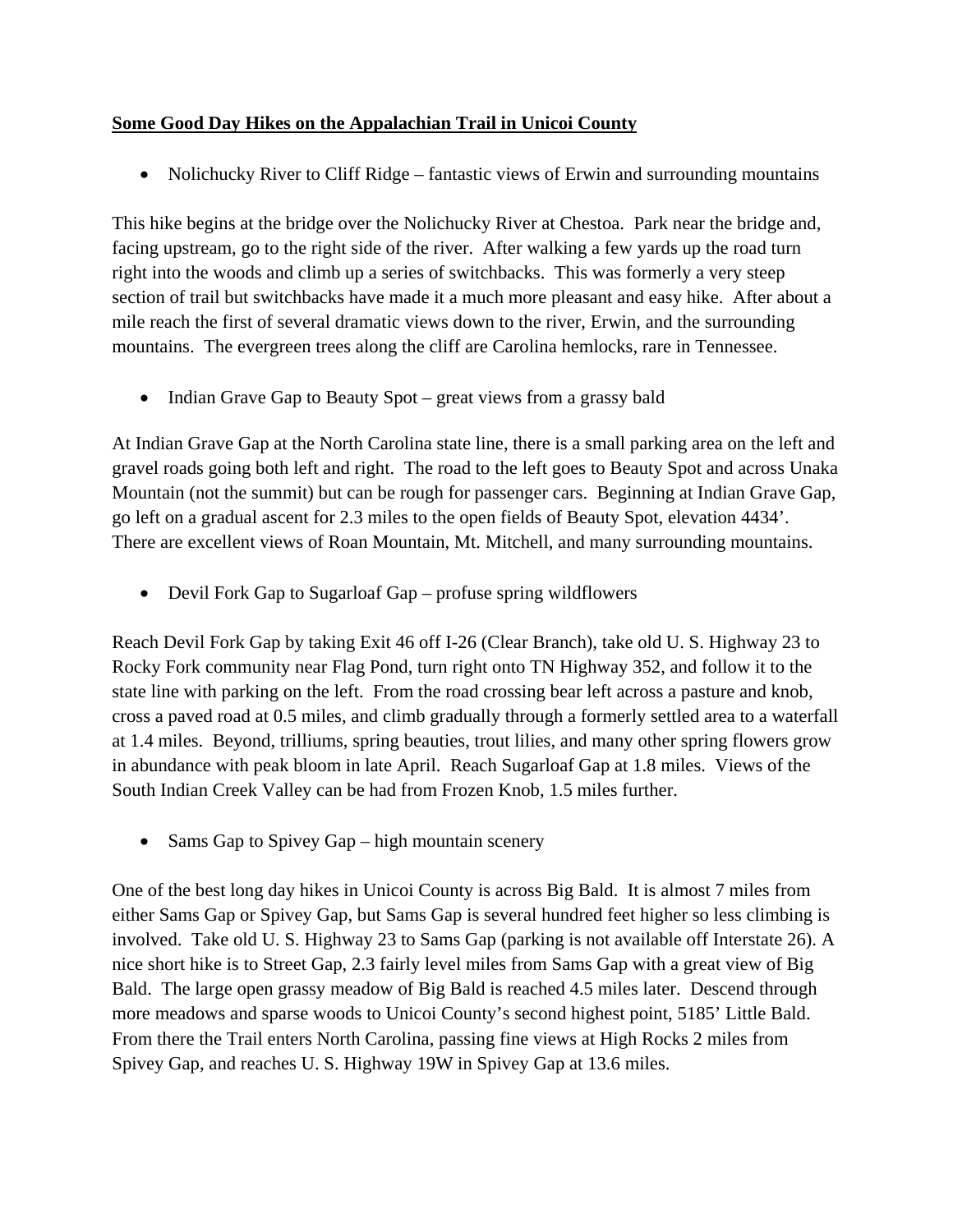#### **Some Good Day Hikes on the Appalachian Trail in Unicoi County**

• Nolichucky River to Cliff Ridge – fantastic views of Erwin and surrounding mountains

This hike begins at the bridge over the Nolichucky River at Chestoa. Park near the bridge and, facing upstream, go to the right side of the river. After walking a few yards up the road turn right into the woods and climb up a series of switchbacks. This was formerly a very steep section of trail but switchbacks have made it a much more pleasant and easy hike. After about a mile reach the first of several dramatic views down to the river, Erwin, and the surrounding mountains. The evergreen trees along the cliff are Carolina hemlocks, rare in Tennessee.

• Indian Grave Gap to Beauty Spot – great views from a grassy bald

At Indian Grave Gap at the North Carolina state line, there is a small parking area on the left and gravel roads going both left and right. The road to the left goes to Beauty Spot and across Unaka Mountain (not the summit) but can be rough for passenger cars. Beginning at Indian Grave Gap, go left on a gradual ascent for 2.3 miles to the open fields of Beauty Spot, elevation 4434'. There are excellent views of Roan Mountain, Mt. Mitchell, and many surrounding mountains.

• Devil Fork Gap to Sugarloaf Gap – profuse spring wildflowers

Reach Devil Fork Gap by taking Exit 46 off I-26 (Clear Branch), take old U. S. Highway 23 to Rocky Fork community near Flag Pond, turn right onto TN Highway 352, and follow it to the state line with parking on the left. From the road crossing bear left across a pasture and knob, cross a paved road at 0.5 miles, and climb gradually through a formerly settled area to a waterfall at 1.4 miles. Beyond, trilliums, spring beauties, trout lilies, and many other spring flowers grow in abundance with peak bloom in late April. Reach Sugarloaf Gap at 1.8 miles. Views of the South Indian Creek Valley can be had from Frozen Knob, 1.5 miles further.

• Sams Gap to Spivey Gap – high mountain scenery

One of the best long day hikes in Unicoi County is across Big Bald. It is almost 7 miles from either Sams Gap or Spivey Gap, but Sams Gap is several hundred feet higher so less climbing is involved. Take old U. S. Highway 23 to Sams Gap (parking is not available off Interstate 26). A nice short hike is to Street Gap, 2.3 fairly level miles from Sams Gap with a great view of Big Bald. The large open grassy meadow of Big Bald is reached 4.5 miles later. Descend through more meadows and sparse woods to Unicoi County's second highest point, 5185' Little Bald. From there the Trail enters North Carolina, passing fine views at High Rocks 2 miles from Spivey Gap, and reaches U. S. Highway 19W in Spivey Gap at 13.6 miles.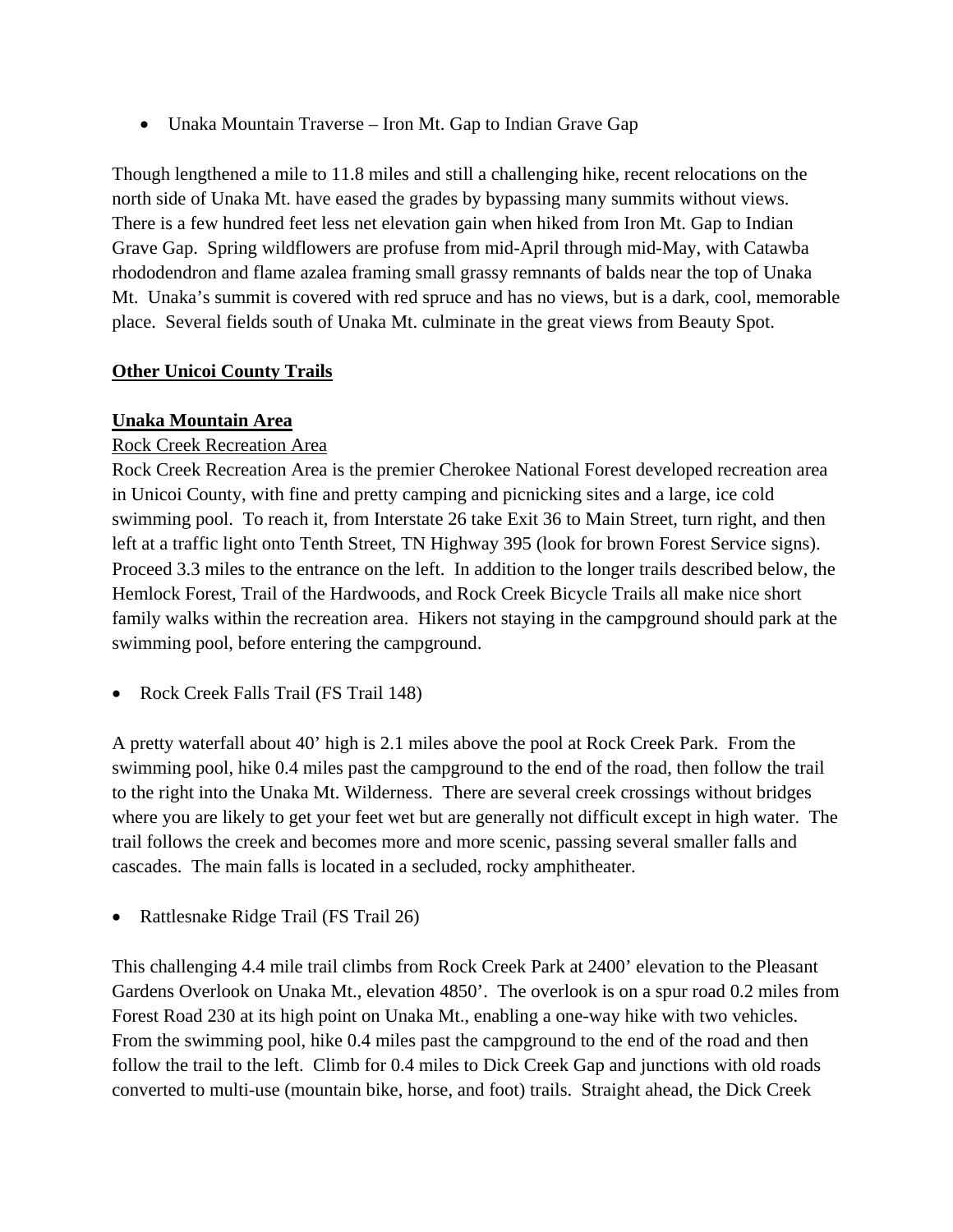• Unaka Mountain Traverse – Iron Mt. Gap to Indian Grave Gap

Though lengthened a mile to 11.8 miles and still a challenging hike, recent relocations on the north side of Unaka Mt. have eased the grades by bypassing many summits without views. There is a few hundred feet less net elevation gain when hiked from Iron Mt. Gap to Indian Grave Gap. Spring wildflowers are profuse from mid-April through mid-May, with Catawba rhododendron and flame azalea framing small grassy remnants of balds near the top of Unaka Mt. Unaka's summit is covered with red spruce and has no views, but is a dark, cool, memorable place. Several fields south of Unaka Mt. culminate in the great views from Beauty Spot.

#### **Other Unicoi County Trails**

#### **Unaka Mountain Area**

## Rock Creek Recreation Area

Rock Creek Recreation Area is the premier Cherokee National Forest developed recreation area in Unicoi County, with fine and pretty camping and picnicking sites and a large, ice cold swimming pool. To reach it, from Interstate 26 take Exit 36 to Main Street, turn right, and then left at a traffic light onto Tenth Street, TN Highway 395 (look for brown Forest Service signs). Proceed 3.3 miles to the entrance on the left. In addition to the longer trails described below, the Hemlock Forest, Trail of the Hardwoods, and Rock Creek Bicycle Trails all make nice short family walks within the recreation area. Hikers not staying in the campground should park at the swimming pool, before entering the campground.

• Rock Creek Falls Trail (FS Trail 148)

A pretty waterfall about 40' high is 2.1 miles above the pool at Rock Creek Park. From the swimming pool, hike 0.4 miles past the campground to the end of the road, then follow the trail to the right into the Unaka Mt. Wilderness. There are several creek crossings without bridges where you are likely to get your feet wet but are generally not difficult except in high water. The trail follows the creek and becomes more and more scenic, passing several smaller falls and cascades. The main falls is located in a secluded, rocky amphitheater.

• Rattlesnake Ridge Trail (FS Trail 26)

This challenging 4.4 mile trail climbs from Rock Creek Park at 2400' elevation to the Pleasant Gardens Overlook on Unaka Mt., elevation 4850'. The overlook is on a spur road 0.2 miles from Forest Road 230 at its high point on Unaka Mt., enabling a one-way hike with two vehicles. From the swimming pool, hike 0.4 miles past the campground to the end of the road and then follow the trail to the left. Climb for 0.4 miles to Dick Creek Gap and junctions with old roads converted to multi-use (mountain bike, horse, and foot) trails. Straight ahead, the Dick Creek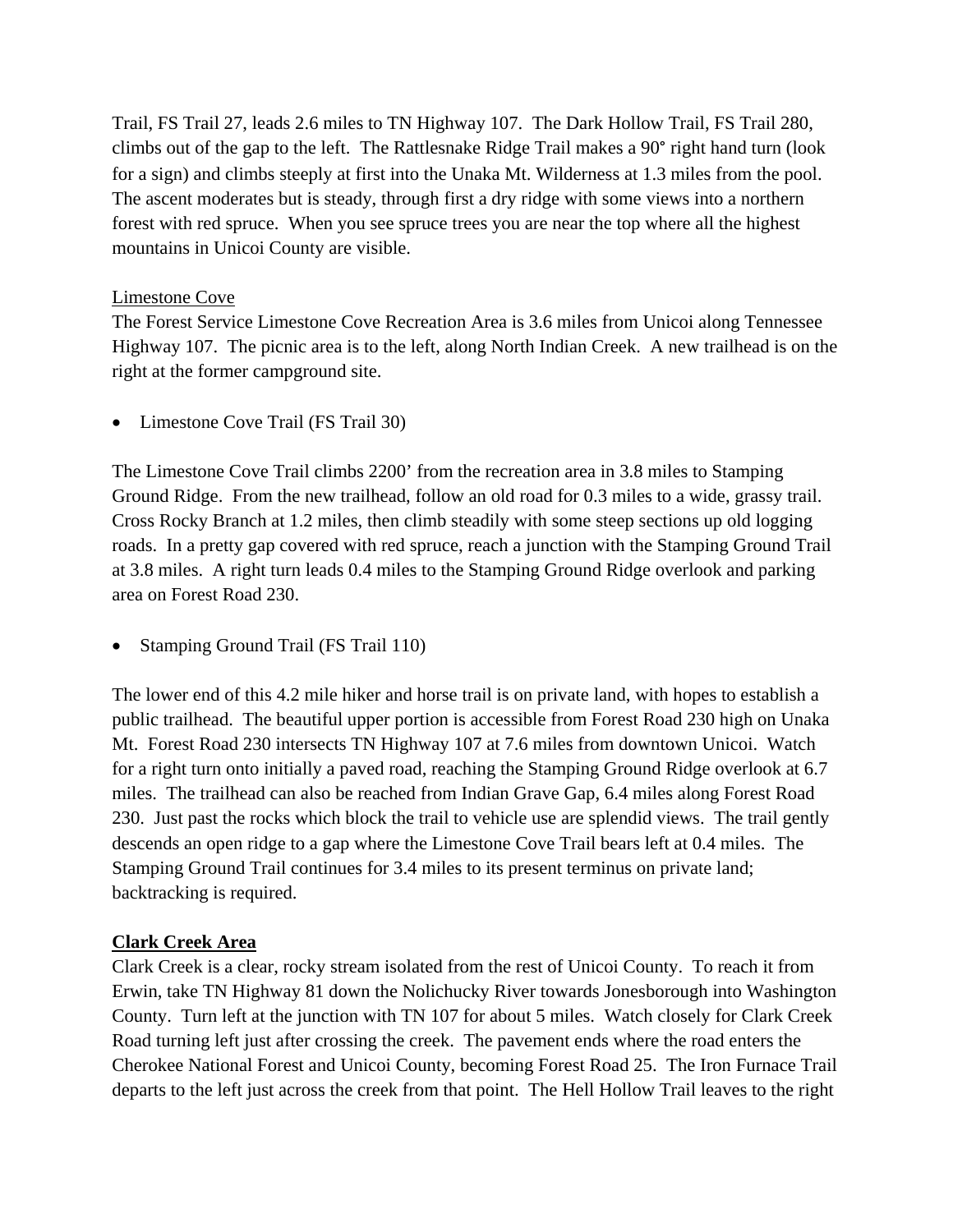Trail, FS Trail 27, leads 2.6 miles to TN Highway 107. The Dark Hollow Trail, FS Trail 280, climbs out of the gap to the left. The Rattlesnake Ridge Trail makes a 90° right hand turn (look for a sign) and climbs steeply at first into the Unaka Mt. Wilderness at 1.3 miles from the pool. The ascent moderates but is steady, through first a dry ridge with some views into a northern forest with red spruce. When you see spruce trees you are near the top where all the highest mountains in Unicoi County are visible.

#### Limestone Cove

The Forest Service Limestone Cove Recreation Area is 3.6 miles from Unicoi along Tennessee Highway 107. The picnic area is to the left, along North Indian Creek. A new trailhead is on the right at the former campground site.

• Limestone Cove Trail (FS Trail 30)

The Limestone Cove Trail climbs 2200' from the recreation area in 3.8 miles to Stamping Ground Ridge. From the new trailhead, follow an old road for 0.3 miles to a wide, grassy trail. Cross Rocky Branch at 1.2 miles, then climb steadily with some steep sections up old logging roads. In a pretty gap covered with red spruce, reach a junction with the Stamping Ground Trail at 3.8 miles. A right turn leads 0.4 miles to the Stamping Ground Ridge overlook and parking area on Forest Road 230.

• Stamping Ground Trail (FS Trail 110)

The lower end of this 4.2 mile hiker and horse trail is on private land, with hopes to establish a public trailhead. The beautiful upper portion is accessible from Forest Road 230 high on Unaka Mt. Forest Road 230 intersects TN Highway 107 at 7.6 miles from downtown Unicoi. Watch for a right turn onto initially a paved road, reaching the Stamping Ground Ridge overlook at 6.7 miles. The trailhead can also be reached from Indian Grave Gap, 6.4 miles along Forest Road 230. Just past the rocks which block the trail to vehicle use are splendid views. The trail gently descends an open ridge to a gap where the Limestone Cove Trail bears left at 0.4 miles. The Stamping Ground Trail continues for 3.4 miles to its present terminus on private land; backtracking is required.

#### **Clark Creek Area**

Clark Creek is a clear, rocky stream isolated from the rest of Unicoi County. To reach it from Erwin, take TN Highway 81 down the Nolichucky River towards Jonesborough into Washington County. Turn left at the junction with TN 107 for about 5 miles. Watch closely for Clark Creek Road turning left just after crossing the creek. The pavement ends where the road enters the Cherokee National Forest and Unicoi County, becoming Forest Road 25. The Iron Furnace Trail departs to the left just across the creek from that point. The Hell Hollow Trail leaves to the right